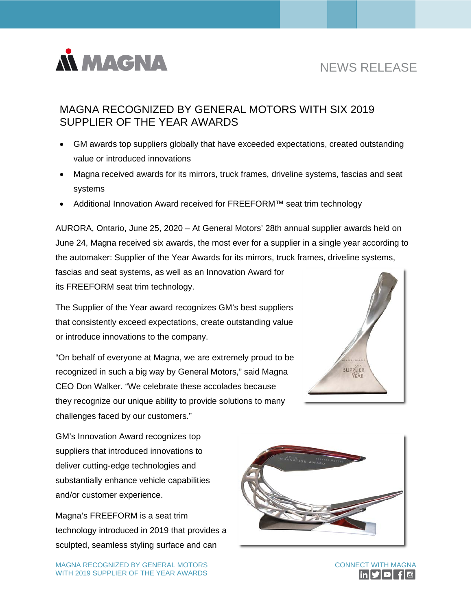

# NEWS RELEASE

## MAGNA RECOGNIZED BY GENERAL MOTORS WITH SIX 2019 SUPPLIER OF THE YEAR AWARDS

- GM awards top suppliers globally that have exceeded expectations, created outstanding value or introduced innovations
- Magna received awards for its mirrors, truck frames, driveline systems, fascias and seat systems
- Additional Innovation Award received for FREEFORM™ seat trim technology

AURORA, Ontario, June 25, 2020 – At General Motors' 28th annual supplier awards held on June 24, Magna received six awards, the most ever for a supplier in a single year according to the automaker: Supplier of the Year Awards for its mirrors, truck frames, driveline systems,

fascias and seat systems, as well as an Innovation Award for its FREEFORM seat trim technology.

The Supplier of the Year award recognizes GM's best suppliers that consistently exceed expectations, create outstanding value or introduce innovations to the company.

"On behalf of everyone at Magna, we are extremely proud to be recognized in such a big way by General Motors," said Magna CEO Don Walker. "We celebrate these accolades because they recognize our unique ability to provide solutions to many challenges faced by our customers."



GM's Innovation Award recognizes top suppliers that introduced innovations to deliver cutting-edge technologies and substantially enhance vehicle capabilities and/or customer experience.

Magna's FREEFORM is a seat trim technology introduced in 2019 that provides a sculpted, seamless styling surface and can



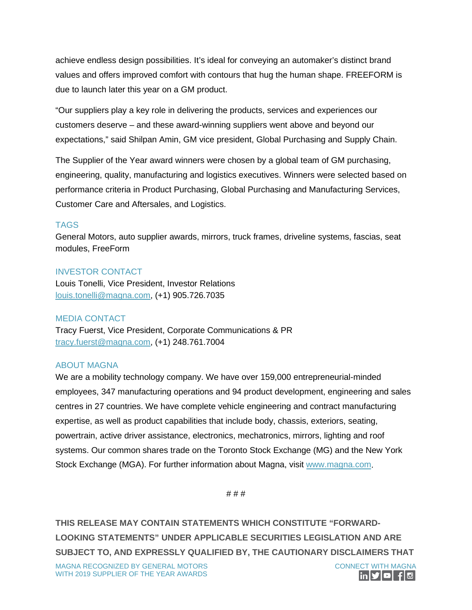achieve endless design possibilities. It's ideal for conveying an automaker's distinct brand values and offers improved comfort with contours that hug the human shape. FREEFORM is due to launch later this year on a GM product.

"Our suppliers play a key role in delivering the products, services and experiences our customers deserve – and these award-winning suppliers went above and beyond our expectations," said Shilpan Amin, GM vice president, Global Purchasing and Supply Chain.

The Supplier of the Year award winners were chosen by a global team of GM purchasing, engineering, quality, manufacturing and logistics executives. Winners were selected based on performance criteria in Product Purchasing, Global Purchasing and Manufacturing Services, Customer Care and Aftersales, and Logistics.

#### TAGS

General Motors, auto supplier awards, mirrors, truck frames, driveline systems, fascias, seat modules, FreeForm

#### INVESTOR CONTACT

Louis Tonelli, Vice President, Investor Relations [louis.tonelli@magna.com,](mailto:louis.tonelli@magna.com) (+1) 905.726.7035

#### MEDIA CONTACT

Tracy Fuerst, Vice President, Corporate Communications & PR [tracy.fuerst@magna.com,](mailto:tracy.fuerst@magna.com) (+1) 248.761.7004

### ABOUT MAGNA

We are a mobility technology company. We have over 159,000 entrepreneurial-minded employees, 347 manufacturing operations and 94 product development, engineering and sales centres in 27 countries. We have complete vehicle engineering and contract manufacturing expertise, as well as product capabilities that include body, chassis, exteriors, seating, powertrain, active driver assistance, electronics, mechatronics, mirrors, lighting and roof systems. Our common shares trade on the Toronto Stock Exchange (MG) and the New York Stock Exchange (MGA). For further information about Magna, visit [www.magna.com.](http://www.magna.com/)

# # #

**THIS RELEASE MAY CONTAIN STATEMENTS WHICH CONSTITUTE "FORWARD-LOOKING STATEMENTS" UNDER APPLICABLE SECURITIES LEGISLATION AND ARE SUBJECT TO, AND EXPRESSLY QUALIFIED BY, THE CAUTIONARY DISCLAIMERS THAT**